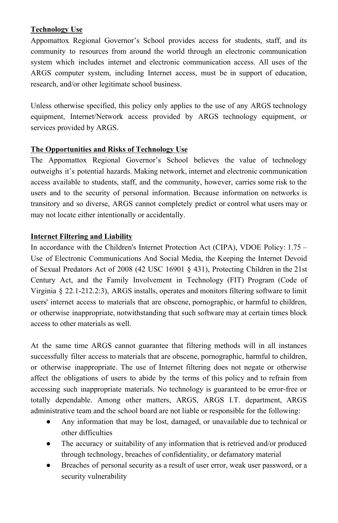## **Technology Use**

Appomattox Regional Governor's School provides access for students, staff, and its community to resources from around the world through an electronic communication system which includes internet and electronic communication access. All uses of the ARGS computer system, including Internet access, must be in support of education, research, and/or other legitimate school business.

Unless otherwise specified, this policy only applies to the use of any ARGS technology equipment, Internet/Network access provided by ARGS technology equipment, or services provided by ARGS.

## **The Opportunities and Risks of Technology Use**

The Appomattox Regional Governor's School believes the value of technology outweighs it's potential hazards. Making network, internet and electronic communication access available to students, staff, and the community, however, carries some risk to the users and to the security of personal information. Because information on networks is transitory and so diverse, ARGS cannot completely predict or control what users may or may not locate either intentionally or accidentally.

## **Internet Filtering and Liability**

In accordance with the Children's Internet Protection Act (CIPA), VDOE Policy: 1.75 – Use of Electronic Communications And Social Media, the Keeping the Internet Devoid of Sexual Predators Act of 2008 (42 USC 16901 § 431), Protecting Children in the 21st Century Act, and the Family Involvement in Technology (FIT) Program (Code of Virginia  $\S$  22.1-212.2:3), ARGS installs, operates and monitors filtering software to limit users' internet access to materials that are obscene, pornographic, or harmful to children, or otherwise inappropriate, notwithstanding that such software may at certain times block access to other materials as well.

At the same time ARGS cannot guarantee that filtering methods will in all instances successfully filter access to materials that are obscene, pornographic, harmful to children, or otherwise inappropriate. The use of Internet filtering does not negate or otherwise affect the obligations of users to abide by the terms of this policy and to refrain from accessing such inappropriate materials. No technology is guaranteed to be errorfree or totally dependable. Among other matters, ARGS, ARGS I.T. department, ARGS administrative team and the school board are not liable or responsible for the following:

- Any information that may be lost, damaged, or unavailable due to technical or other difficulties
- The accuracy or suitability of any information that is retrieved and/or produced through technology, breaches of confidentiality, or defamatory material
- Breaches of personal security as a result of user error, weak user password, or a security vulnerability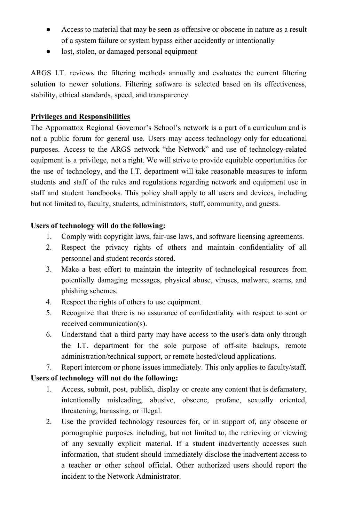- Access to material that may be seen as offensive or obscene in nature as a result of a system failure or system bypass either accidently or intentionally
- lost, stolen, or damaged personal equipment

ARGS I.T. reviews the filtering methods annually and evaluates the current filtering solution to newer solutions. Filtering software is selected based on its effectiveness, stability, ethical standards, speed, and transparency.

# **Privileges and Responsibilities**

The Appomattox Regional Governor's School's network is a part of a curriculum and is not a public forum for general use. Users may access technology only for educational purposes. Access to the ARGS network "the Network" and use of technologyrelated equipment is a privilege, not a right. We will strive to provide equitable opportunities for the use of technology, and the I.T. department will take reasonable measures to inform students and staff of the rules and regulations regarding network and equipment use in staff and student handbooks. This policy shall apply to all users and devices, including but not limited to, faculty, students, administrators, staff, community, and guests.

## **Users of technology will do the following:**

- 1. Comply with copyright laws, fair-use laws, and software licensing agreements.
- 2. Respect the privacy rights of others and maintain confidentiality of all personnel and student records stored.
- 3. Make a best effort to maintain the integrity of technological resources from potentially damaging messages, physical abuse, viruses, malware, scams, and phishing schemes.
- 4. Respect the rights of others to use equipment.
- 5. Recognize that there is no assurance of confidentiality with respect to sent or received communication(s).
- 6. Understand that a third party may have access to the user's data only through the I.T. department for the sole purpose of off-site backups, remote administration/technical support, or remote hosted/cloud applications.
- 7. Report intercom or phone issues immediately. This only applies to faculty/staff.

### **Users of technology will not do the following:**

- 1. Access, submit, post, publish, display or create any content that is defamatory, intentionally misleading, abusive, obscene, profane, sexually oriented, threatening, harassing, or illegal.
- 2. Use the provided technology resources for, or in support of, any obscene or pornographic purposes including, but not limited to, the retrieving or viewing of any sexually explicit material. If a student inadvertently accesses such information, that student should immediately disclose the inadvertent access to a teacher or other school official. Other authorized users should report the incident to the Network Administrator.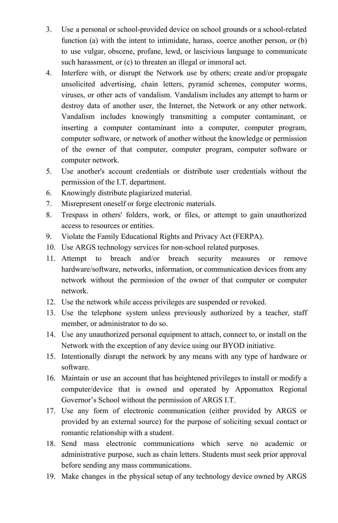- 3. Use a personal or school-provided device on school grounds or a school-related function (a) with the intent to intimidate, harass, coerce another person, or (b) to use vulgar, obscene, profane, lewd, or lascivious language to communicate such harassment, or (c) to threaten an illegal or immoral act.
- 4. Interfere with, or disrupt the Network use by others; create and/or propagate unsolicited advertising, chain letters, pyramid schemes, computer worms, viruses, or other acts of vandalism. Vandalism includes any attempt to harm or destroy data of another user, the Internet, the Network or any other network. Vandalism includes knowingly transmitting a computer contaminant, or inserting a computer contaminant into a computer, computer program, computer software, or network of another without the knowledge or permission of the owner of that computer, computer program, computer software or computer network.
- 5. Use another's account credentials or distribute user credentials without the permission of the I.T. department.
- 6. Knowingly distribute plagiarized material.
- 7. Misrepresent oneself or forge electronic materials.
- 8. Trespass in others' folders, work, or files, or attempt to gain unauthorized access to resources or entities.
- 9. Violate the Family Educational Rights and Privacy Act (FERPA).
- 10. Use ARGS technology services for non-school related purposes.
- 11. Attempt to breach and/or breach security measures or remove hardware/software, networks, information, or communication devices from any network without the permission of the owner of that computer or computer network.
- 12. Use the network while access privileges are suspended or revoked.
- 13. Use the telephone system unless previously authorized by a teacher, staff member, or administrator to do so.
- 14. Use any unauthorized personal equipment to attach, connect to, or install on the Network with the exception of any device using our BYOD initiative.
- 15. Intentionally disrupt the network by any means with any type of hardware or software.
- 16. Maintain or use an account that has heightened privileges to install or modify a computer/device that is owned and operated by Appomattox Regional Governor's School without the permission of ARGS I.T.
- 17. Use any form of electronic communication (either provided by ARGS or provided by an external source) for the purpose of soliciting sexual contact or romantic relationship with a student.
- 18. Send mass electronic communications which serve no academic or administrative purpose, such as chain letters. Students must seek prior approval before sending any mass communications.
- 19. Make changes in the physical setup of any technology device owned by ARGS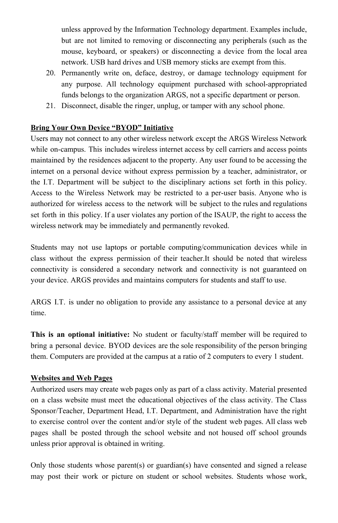unless approved by the Information Technology department. Examples include, but are not limited to removing or disconnecting any peripherals (such as the mouse, keyboard, or speakers) or disconnecting a device from the local area network. USB hard drives and USB memory sticks are exempt from this.

- 20. Permanently write on, deface, destroy, or damage technology equipment for any purpose. All technology equipment purchased with school-appropriated funds belongs to the organization ARGS, not a specific department or person.
- 21. Disconnect, disable the ringer, unplug, or tamper with any school phone.

## **Bring Your Own Device "BYOD" Initiative**

Users may not connect to any other wireless network except the ARGS Wireless Network while on-campus. This includes wireless internet access by cell carriers and access points maintained by the residences adjacent to the property. Any user found to be accessing the internet on a personal device without express permission by a teacher, administrator, or the I.T. Department will be subject to the disciplinary actions set forth in this policy. Access to the Wireless Network may be restricted to a per-user basis. Anyone who is authorized for wireless access to the network will be subject to the rules and regulations set forth in this policy. If a user violates any portion of the ISAUP, the right to access the wireless network may be immediately and permanently revoked.

Students may not use laptops or portable computing/communication devices while in class without the express permission of their teacher.It should be noted that wireless connectivity is considered a secondary network and connectivity is not guaranteed on your device. ARGS provides and maintains computers for students and staff to use.

ARGS I.T. is under no obligation to provide any assistance to a personal device at any time.

**This is an optional initiative:** No student or faculty/staff member will be required to bring a personal device. BYOD devices are the sole responsibility of the person bringing them. Computers are provided at the campus at a ratio of 2 computers to every 1 student.

### **Websites and Web Pages**

Authorized users may create web pages only as part of a class activity. Material presented on a class website must meet the educational objectives of the class activity. The Class Sponsor/Teacher, Department Head, I.T. Department, and Administration have the right to exercise control over the content and/or style of the student web pages. All class web pages shall be posted through the school website and not housed off school grounds unless prior approval is obtained in writing.

Only those students whose parent(s) or guardian(s) have consented and signed a release may post their work or picture on student or school websites. Students whose work,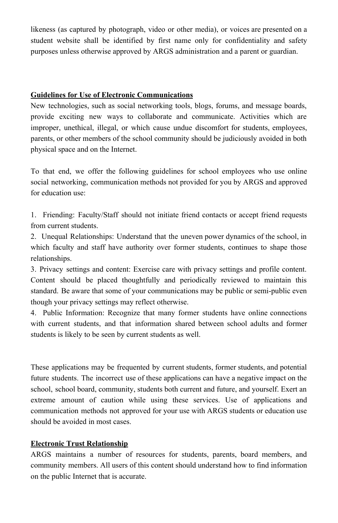likeness (as captured by photograph, video or other media), or voices are presented on a student website shall be identified by first name only for confidentiality and safety purposes unless otherwise approved by ARGS administration and a parent or guardian.

#### **Guidelines for Use of Electronic Communications**

New technologies, such as social networking tools, blogs, forums, and message boards, provide exciting new ways to collaborate and communicate. Activities which are improper, unethical, illegal, or which cause undue discomfort for students, employees, parents, or other members of the school community should be judiciously avoided in both physical space and on the Internet.

To that end, we offer the following guidelines for school employees who use online social networking, communication methods not provided for you by ARGS and approved for education use:

1. Friending: Faculty/Staff should not initiate friend contacts or accept friend requests from current students.

2. Unequal Relationships: Understand that the uneven power dynamics of the school, in which faculty and staff have authority over former students, continues to shape those relationships.

3. Privacy settings and content: Exercise care with privacy settings and profile content. Content should be placed thoughtfully and periodically reviewed to maintain this standard. Be aware that some of your communications may be public or semipublic even though your privacy settings may reflect otherwise.

4. Public Information: Recognize that many former students have online connections with current students, and that information shared between school adults and former students is likely to be seen by current students as well.

These applications may be frequented by current students, former students, and potential future students. The incorrect use of these applications can have a negative impact on the school, school board, community, students both current and future, and yourself. Exert an extreme amount of caution while using these services. Use of applications and communication methods not approved for your use with ARGS students or education use should be avoided in most cases.

### **Electronic Trust Relationship**

ARGS maintains a number of resources for students, parents, board members, and community members. All users of this content should understand how to find information on the public Internet that is accurate.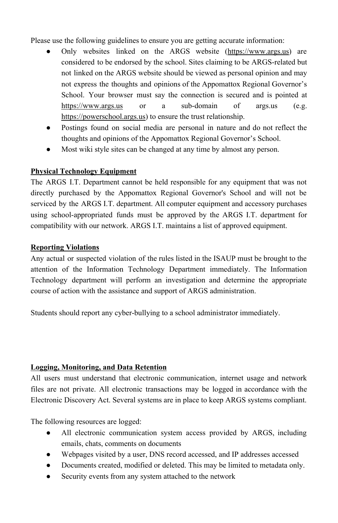Please use the following guidelines to ensure you are getting accurate information:

- Only websites linked on the ARGS website (https://www.args.us) are considered to be endorsed by the school. Sites claiming to be ARGS-related but not linked on the ARGS website should be viewed as personal opinion and may not express the thoughts and opinions of the Appomattox Regional Governor's School. Your browser must say the connection is secured and is pointed at https://www.args.us or a sub-domain of args.us (e.g. https://powerschool.args.us) to ensure the trust relationship.
- **●** Postings found on social media are personal in nature and do not reflect the thoughts and opinions of the Appomattox Regional Governor's School.
- Most wiki style sites can be changed at any time by almost any person.

### **Physical Technology Equipment**

The ARGS I.T. Department cannot be held responsible for any equipment that was not directly purchased by the Appomattox Regional Governor's School and will not be serviced by the ARGS I.T. department. All computer equipment and accessory purchases using schoolappropriated funds must be approved by the ARGS I.T. department for compatibility with our network. ARGS I.T. maintains a list of approved equipment.

#### **Reporting Violations**

Any actual or suspected violation of the rules listed in the ISAUP must be brought to the attention of the Information Technology Department immediately. The Information Technology department will perform an investigation and determine the appropriate course of action with the assistance and support of ARGS administration.

Students should report any cyber-bullying to a school administrator immediately.

#### **Logging, Monitoring, and Data Retention**

All users must understand that electronic communication, internet usage and network files are not private. All electronic transactions may be logged in accordance with the Electronic Discovery Act. Several systems are in place to keep ARGS systems compliant.

The following resources are logged:

- All electronic communication system access provided by ARGS, including emails, chats, comments on documents
- Webpages visited by a user, DNS record accessed, and IP addresses accessed
- Documents created, modified or deleted. This may be limited to metadata only.
- Security events from any system attached to the network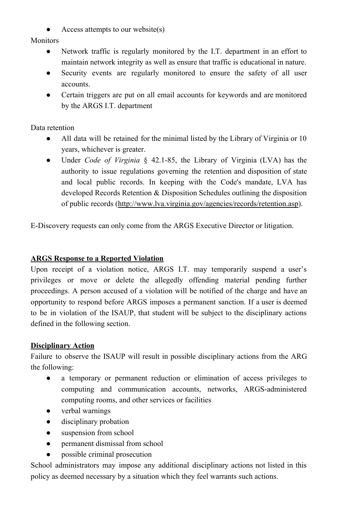Access attempts to our website $(s)$ 

**Monitors** 

- Network traffic is regularly monitored by the I.T. department in an effort to maintain network integrity as well as ensure that traffic is educational in nature.
- Security events are regularly monitored to ensure the safety of all user accounts.
- Certain triggers are put on all email accounts for keywords and are monitored by the ARGS I.T. department

Data retention

- All data will be retained for the minimal listed by the Library of Virginia or 10 years, whichever is greater.
- Under *Code of Virginia* § 42.1-85, the Library of Virginia (LVA) has the authority to issue regulations governing the retention and disposition of state and local public records. In keeping with the Code's mandate, LVA has developed Records Retention & Disposition Schedules outlining the disposition of public records (http://www.lva.virginia.gov/agencies/records/retention.asp).

EDiscovery requests can only come from the ARGS Executive Director or litigation.

## **ARGS Response to a Reported Violation**

Upon receipt of a violation notice, ARGS I.T. may temporarily suspend a user's privileges or move or delete the allegedly offending material pending further proceedings. A person accused of a violation will be notified of the charge and have an opportunity to respond before ARGS imposes a permanent sanction. If a user is deemed to be in violation of the ISAUP, that student will be subject to the disciplinary actions defined in the following section.

### **Disciplinary Action**

Failure to observe the ISAUP will result in possible disciplinary actions from the ARG the following:

- a temporary or permanent reduction or elimination of access privileges to computing and communication accounts, networks, ARGS-administered computing rooms, and other services or facilities
- verbal warnings
- disciplinary probation
- suspension from school
- permanent dismissal from school
- possible criminal prosecution

School administrators may impose any additional disciplinary actions not listed in this policy as deemed necessary by a situation which they feel warrants such actions.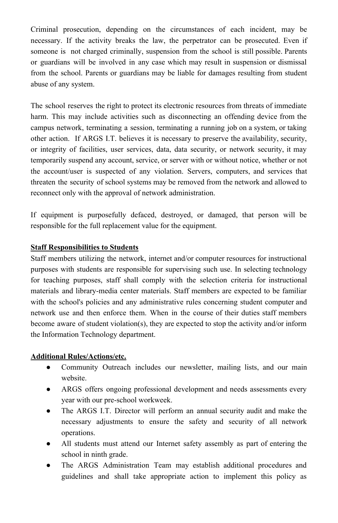Criminal prosecution, depending on the circumstances of each incident, may be necessary. If the activity breaks the law, the perpetrator can be prosecuted. Even if someone is not charged criminally, suspension from the school is still possible. Parents or guardians will be involved in any case which may result in suspension or dismissal from the school. Parents or guardians may be liable for damages resulting from student abuse of any system.

The school reserves the right to protect its electronic resources from threats of immediate harm. This may include activities such as disconnecting an offending device from the campus network, terminating a session, terminating a running job on a system, or taking other action. If ARGS I.T. believes it is necessary to preserve the availability, security, or integrity of facilities, user services, data, data security, or network security, it may temporarily suspend any account, service, or server with or without notice, whether or not the account/user is suspected of any violation. Servers, computers, and services that threaten the security of school systems may be removed from the network and allowed to reconnect only with the approval of network administration.

If equipment is purposefully defaced, destroyed, or damaged, that person will be responsible for the full replacement value for the equipment.

### **Staff Responsibilities to Students**

Staff members utilizing the network, internet and/or computer resources for instructional purposes with students are responsible for supervising such use. In selecting technology for teaching purposes, staff shall comply with the selection criteria for instructional materials and library-media center materials. Staff members are expected to be familiar with the school's policies and any administrative rules concerning student computer and network use and then enforce them. When in the course of their duties staff members become aware of student violation(s), they are expected to stop the activity and/or inform the Information Technology department.

### **Additional Rules/Actions/etc.**

- Community Outreach includes our newsletter, mailing lists, and our main website.
- ARGS offers ongoing professional development and needs assessments every year with our pre-school workweek.
- The ARGS I.T. Director will perform an annual security audit and make the necessary adjustments to ensure the safety and security of all network operations.
- All students must attend our Internet safety assembly as part of entering the school in ninth grade.
- The ARGS Administration Team may establish additional procedures and guidelines and shall take appropriate action to implement this policy as